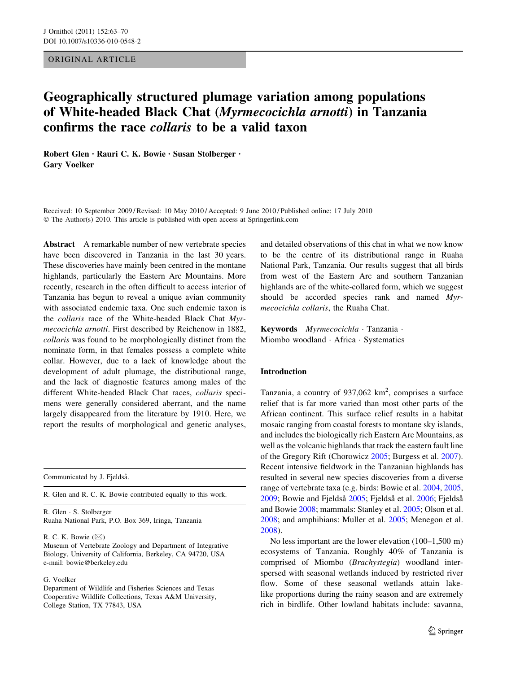## ORIGINAL ARTICLE

# Geographically structured plumage variation among populations of White-headed Black Chat (Myrmecocichla arnotti) in Tanzania confirms the race collaris to be a valid taxon

Robert Glen • Rauri C. K. Bowie • Susan Stolberger • Gary Voelker

Received: 10 September 2009 / Revised: 10 May 2010 / Accepted: 9 June 2010 / Published online: 17 July 2010 © The Author(s) 2010. This article is published with open access at Springerlink.com

Abstract A remarkable number of new vertebrate species have been discovered in Tanzania in the last 30 years. These discoveries have mainly been centred in the montane highlands, particularly the Eastern Arc Mountains. More recently, research in the often difficult to access interior of Tanzania has begun to reveal a unique avian community with associated endemic taxa. One such endemic taxon is the collaris race of the White-headed Black Chat Myrmecocichla arnotti. First described by Reichenow in 1882, collaris was found to be morphologically distinct from the nominate form, in that females possess a complete white collar. However, due to a lack of knowledge about the development of adult plumage, the distributional range, and the lack of diagnostic features among males of the different White-headed Black Chat races, collaris specimens were generally considered aberrant, and the name largely disappeared from the literature by 1910. Here, we report the results of morphological and genetic analyses,

Communicated by J. Fjeldså.

R. Glen and R. C. K. Bowie contributed equally to this work.

R. Glen - S. Stolberger Ruaha National Park, P.O. Box 369, Iringa, Tanzania

R. C. K. Bowie  $(\boxtimes)$ 

Museum of Vertebrate Zoology and Department of Integrative Biology, University of California, Berkeley, CA 94720, USA e-mail: bowie@berkeley.edu

## G. Voelker

Department of Wildlife and Fisheries Sciences and Texas Cooperative Wildlife Collections, Texas A&M University, College Station, TX 77843, USA

and detailed observations of this chat in what we now know to be the centre of its distributional range in Ruaha National Park, Tanzania. Our results suggest that all birds from west of the Eastern Arc and southern Tanzanian highlands are of the white-collared form, which we suggest should be accorded species rank and named Myrmecocichla collaris, the Ruaha Chat.

Keywords Myrmecocichla · Tanzania · Miombo woodland · Africa · Systematics

#### Introduction

Tanzania, a country of  $937,062$  km<sup>2</sup>, comprises a surface relief that is far more varied than most other parts of the African continent. This surface relief results in a habitat mosaic ranging from coastal forests to montane sky islands, and includes the biologically rich Eastern Arc Mountains, as well as the volcanic highlands that track the eastern fault line of the Gregory Rift (Chorowicz [2005;](#page-7-0) Burgess et al. [2007](#page-7-0)). Recent intensive fieldwork in the Tanzanian highlands has resulted in several new species discoveries from a diverse range of vertebrate taxa (e.g. birds: Bowie et al. [2004](#page-6-0), [2005,](#page-6-0) [2009](#page-7-0); Bowie and Fjeldså [2005;](#page-6-0) Fjeldså et al. [2006;](#page-7-0) Fjeldså and Bowie [2008](#page-7-0); mammals: Stanley et al. [2005;](#page-7-0) Olson et al. [2008](#page-7-0); and amphibians: Muller et al. [2005;](#page-7-0) Menegon et al. [2008](#page-7-0)).

No less important are the lower elevation (100–1,500 m) ecosystems of Tanzania. Roughly 40% of Tanzania is comprised of Miombo (Brachystegia) woodland interspersed with seasonal wetlands induced by restricted river flow. Some of these seasonal wetlands attain lakelike proportions during the rainy season and are extremely rich in birdlife. Other lowland habitats include: savanna,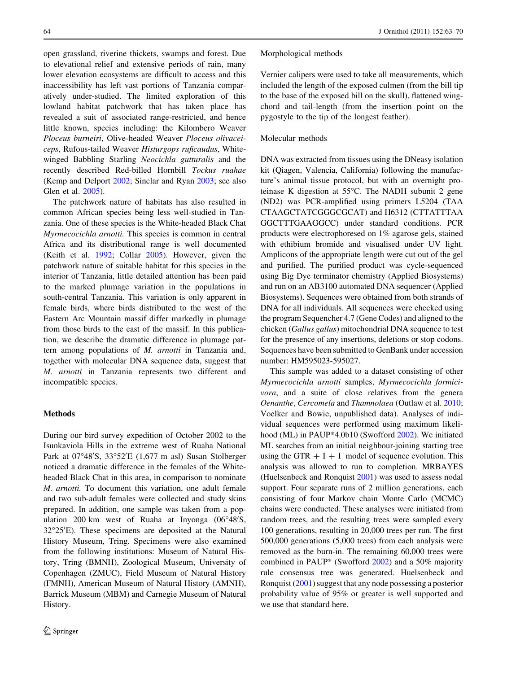open grassland, riverine thickets, swamps and forest. Due to elevational relief and extensive periods of rain, many lower elevation ecosystems are difficult to access and this inaccessibility has left vast portions of Tanzania comparatively under-studied. The limited exploration of this lowland habitat patchwork that has taken place has revealed a suit of associated range-restricted, and hence little known, species including: the Kilombero Weaver Ploceus burneiri, Olive-headed Weaver Ploceus olivaceiceps, Rufous-tailed Weaver Histurgops ruficaudus, Whitewinged Babbling Starling Neocichla gutturalis and the recently described Red-billed Hornbill Tockus ruahae (Kemp and Delport [2002;](#page-7-0) Sinclar and Ryan [2003](#page-7-0); see also Glen et al. [2005](#page-7-0)).

The patchwork nature of habitats has also resulted in common African species being less well-studied in Tanzania. One of these species is the White-headed Black Chat Myrmecocichla arnotti. This species is common in central Africa and its distributional range is well documented (Keith et al. [1992;](#page-7-0) Collar [2005\)](#page-7-0). However, given the patchwork nature of suitable habitat for this species in the interior of Tanzania, little detailed attention has been paid to the marked plumage variation in the populations in south-central Tanzania. This variation is only apparent in female birds, where birds distributed to the west of the Eastern Arc Mountain massif differ markedly in plumage from those birds to the east of the massif. In this publication, we describe the dramatic difference in plumage pattern among populations of *M. arnotti* in Tanzania and, together with molecular DNA sequence data, suggest that M. arnotti in Tanzania represents two different and incompatible species.

#### Methods

During our bird survey expedition of October 2002 to the Isunkaviola Hills in the extreme west of Ruaha National Park at 07°48'S, 33°52'E (1,677 m asl) Susan Stolberger noticed a dramatic difference in the females of the Whiteheaded Black Chat in this area, in comparison to nominate M. arnotti. To document this variation, one adult female and two sub-adult females were collected and study skins prepared. In addition, one sample was taken from a population 200 km west of Ruaha at Inyonga (06°48'S, 32°25'E). These specimens are deposited at the Natural History Museum, Tring. Specimens were also examined from the following institutions: Museum of Natural History, Tring (BMNH), Zoological Museum, University of Copenhagen (ZMUC), Field Museum of Natural History (FMNH), American Museum of Natural History (AMNH), Barrick Museum (MBM) and Carnegie Museum of Natural History.

Morphological methods

Vernier calipers were used to take all measurements, which included the length of the exposed culmen (from the bill tip to the base of the exposed bill on the skull), flattened wingchord and tail-length (from the insertion point on the pygostyle to the tip of the longest feather).

## Molecular methods

DNA was extracted from tissues using the DNeasy isolation kit (Qiagen, Valencia, California) following the manufacture's animal tissue protocol, but with an overnight proteinase K digestion at  $55^{\circ}$ C. The NADH subunit 2 gene (ND2) was PCR-amplified using primers L5204 (TAA CTAAGCTATCGGGCGCAT) and H6312 (CTTATTTAA GGCTTTGAAGGCC) under standard conditions. PCR products were electrophoresed on 1% agarose gels, stained with ethibium bromide and visualised under UV light. Amplicons of the appropriate length were cut out of the gel and purified. The purified product was cycle-sequenced using Big Dye terminator chemistry (Applied Biosystems) and run on an AB3100 automated DNA sequencer (Applied Biosystems). Sequences were obtained from both strands of DNA for all individuals. All sequences were checked using the program Sequencher 4.7 (Gene Codes) and aligned to the chicken (Gallus gallus) mitochondrial DNA sequence to test for the presence of any insertions, deletions or stop codons. Sequences have been submitted to GenBank under accession number: HM595023-595027.

This sample was added to a dataset consisting of other Myrmecocichla arnotti samples, Myrmecocichla formicivora, and a suite of close relatives from the genera Oenanthe, Cercomela and Thamnolaea (Outlaw et al. [2010](#page-7-0); Voelker and Bowie, unpublished data). Analyses of individual sequences were performed using maximum likelihood (ML) in PAUP\*4.0b10 (Swofford [2002\)](#page-7-0). We initiated ML searches from an initial neighbour-joining starting tree using the GTR  $+ I + \Gamma$  model of sequence evolution. This analysis was allowed to run to completion. MRBAYES (Huelsenbeck and Ronquist [2001\)](#page-7-0) was used to assess nodal support. Four separate runs of 2 million generations, each consisting of four Markov chain Monte Carlo (MCMC) chains were conducted. These analyses were initiated from random trees, and the resulting trees were sampled every 100 generations, resulting in 20,000 trees per run. The first 500,000 generations (5,000 trees) from each analysis were removed as the burn-in. The remaining 60,000 trees were combined in PAUP\* (Swofford [2002](#page-7-0)) and a 50% majority rule consensus tree was generated. Huelsenbeck and Ronquist [\(2001](#page-7-0)) suggest that any node possessing a posterior probability value of 95% or greater is well supported and we use that standard here.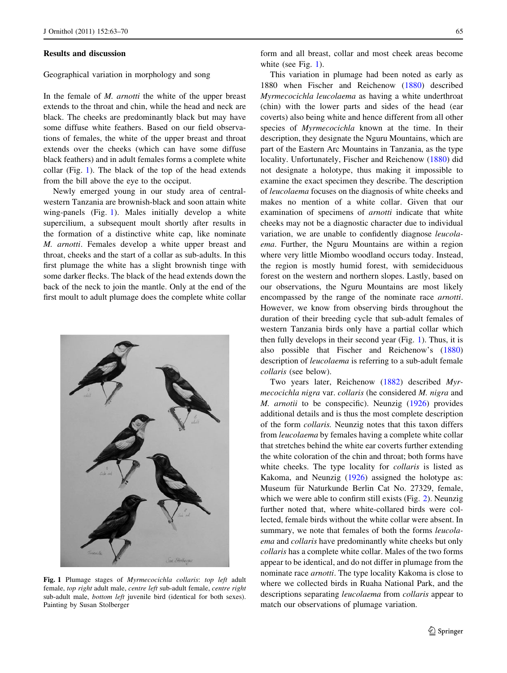#### <span id="page-2-0"></span>Results and discussion

Geographical variation in morphology and song

In the female of  $M$ . *arnotti* the white of the upper breast extends to the throat and chin, while the head and neck are black. The cheeks are predominantly black but may have some diffuse white feathers. Based on our field observations of females, the white of the upper breast and throat extends over the cheeks (which can have some diffuse black feathers) and in adult females forms a complete white collar (Fig. 1). The black of the top of the head extends from the bill above the eye to the occiput.

Newly emerged young in our study area of centralwestern Tanzania are brownish-black and soon attain white wing-panels (Fig. 1). Males initially develop a white supercilium, a subsequent moult shortly after results in the formation of a distinctive white cap, like nominate M. *arnotti*. Females develop a white upper breast and throat, cheeks and the start of a collar as sub-adults. In this first plumage the white has a slight brownish tinge with some darker flecks. The black of the head extends down the back of the neck to join the mantle. Only at the end of the first moult to adult plumage does the complete white collar



Fig. 1 Plumage stages of Myrmecocichla collaris: top left adult female, top right adult male, centre left sub-adult female, centre right sub-adult male, bottom left juvenile bird (identical for both sexes). Painting by Susan Stolberger

form and all breast, collar and most cheek areas become white (see Fig. 1).

This variation in plumage had been noted as early as 1880 when Fischer and Reichenow [\(1880](#page-7-0)) described Myrmecocichla leucolaema as having a white underthroat (chin) with the lower parts and sides of the head (ear coverts) also being white and hence different from all other species of Myrmecocichla known at the time. In their description, they designate the Nguru Mountains, which are part of the Eastern Arc Mountains in Tanzania, as the type locality. Unfortunately, Fischer and Reichenow [\(1880](#page-7-0)) did not designate a holotype, thus making it impossible to examine the exact specimen they describe. The description of leucolaema focuses on the diagnosis of white cheeks and makes no mention of a white collar. Given that our examination of specimens of *arnotti* indicate that white cheeks may not be a diagnostic character due to individual variation, we are unable to confidently diagnose leucolaema. Further, the Nguru Mountains are within a region where very little Miombo woodland occurs today. Instead, the region is mostly humid forest, with semideciduous forest on the western and northern slopes. Lastly, based on our observations, the Nguru Mountains are most likely encompassed by the range of the nominate race arnotti. However, we know from observing birds throughout the duration of their breeding cycle that sub-adult females of western Tanzania birds only have a partial collar which then fully develops in their second year (Fig. 1). Thus, it is also possible that Fischer and Reichenow's ([1880\)](#page-7-0) description of leucolaema is referring to a sub-adult female collaris (see below).

Two years later, Reichenow [\(1882](#page-7-0)) described Myrmecocichla nigra var. collaris (he considered M. nigra and M. arnotii to be conspecific). Neunzig [\(1926](#page-7-0)) provides additional details and is thus the most complete description of the form collaris. Neunzig notes that this taxon differs from leucolaema by females having a complete white collar that stretches behind the white ear coverts further extending the white coloration of the chin and throat; both forms have white cheeks. The type locality for *collaris* is listed as Kakoma, and Neunzig ([1926\)](#page-7-0) assigned the holotype as: Museum für Naturkunde Berlin Cat No. 27329, female, which we were able to confirm still exists (Fig. [2](#page-3-0)). Neunzig further noted that, where white-collared birds were collected, female birds without the white collar were absent. In summary, we note that females of both the forms *leucola*ema and collaris have predominantly white cheeks but only collaris has a complete white collar. Males of the two forms appear to be identical, and do not differ in plumage from the nominate race arnotti. The type locality Kakoma is close to where we collected birds in Ruaha National Park, and the descriptions separating leucolaema from collaris appear to match our observations of plumage variation.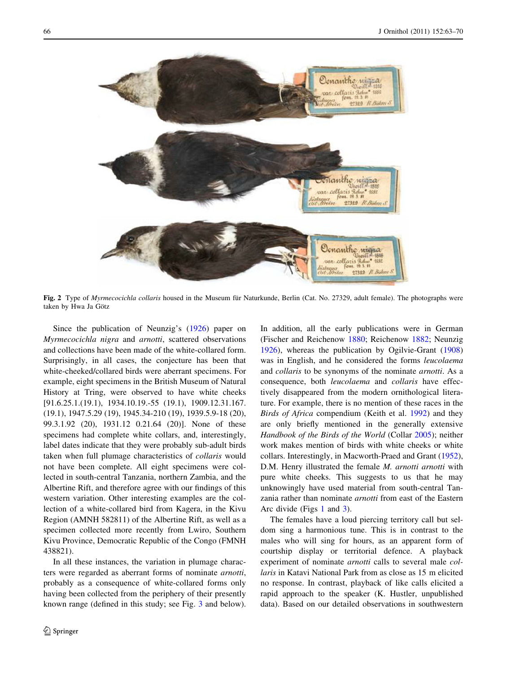<span id="page-3-0"></span>

Fig. 2 Type of Myrmecocichla collaris housed in the Museum für Naturkunde, Berlin (Cat. No. 27329, adult female). The photographs were taken by Hwa Ja Götz

Since the publication of Neunzig's ([1926](#page-7-0)) paper on Myrmecocichla nigra and arnotti, scattered observations and collections have been made of the white-collared form. Surprisingly, in all cases, the conjecture has been that white-cheeked/collared birds were aberrant specimens. For example, eight specimens in the British Museum of Natural History at Tring, were observed to have white cheeks [91.6.25.1.(19.1), 1934.10.19.-55 (19.1), 1909.12.31.167. (19.1), 1947.5.29 (19), 1945.34-210 (19), 1939.5.9-18 (20), 99.3.1.92 (20), 1931.12 0.21.64 (20)]. None of these specimens had complete white collars, and, interestingly, label dates indicate that they were probably sub-adult birds taken when full plumage characteristics of collaris would not have been complete. All eight specimens were collected in south-central Tanzania, northern Zambia, and the Albertine Rift, and therefore agree with our findings of this western variation. Other interesting examples are the collection of a white-collared bird from Kagera, in the Kivu Region (AMNH 582811) of the Albertine Rift, as well as a specimen collected more recently from Lwiro, Southern Kivu Province, Democratic Republic of the Congo (FMNH 438821).

In all these instances, the variation in plumage characters were regarded as aberrant forms of nominate arnotti, probably as a consequence of white-collared forms only having been collected from the periphery of their presently known range (defined in this study; see Fig. [3](#page-4-0) and below). In addition, all the early publications were in German (Fischer and Reichenow [1880](#page-7-0); Reichenow [1882;](#page-7-0) Neunzig [1926](#page-7-0)), whereas the publication by Ogilvie-Grant ([1908\)](#page-7-0) was in English, and he considered the forms leucolaema and collaris to be synonyms of the nominate arnotti. As a consequence, both leucolaema and collaris have effectively disappeared from the modern ornithological literature. For example, there is no mention of these races in the Birds of Africa compendium (Keith et al. [1992\)](#page-7-0) and they are only briefly mentioned in the generally extensive Handbook of the Birds of the World (Collar [2005](#page-7-0)); neither work makes mention of birds with white cheeks or white collars. Interestingly, in Macworth-Praed and Grant [\(1952](#page-7-0)), D.M. Henry illustrated the female M. arnotti arnotti with pure white cheeks. This suggests to us that he may unknowingly have used material from south-central Tanzania rather than nominate *arnotti* from east of the Eastern Arc divide (Figs [1](#page-2-0) and [3\)](#page-4-0).

The females have a loud piercing territory call but seldom sing a harmonious tune. This is in contrast to the males who will sing for hours, as an apparent form of courtship display or territorial defence. A playback experiment of nominate *arnotti* calls to several male *col*laris in Katavi National Park from as close as 15 m elicited no response. In contrast, playback of like calls elicited a rapid approach to the speaker (K. Hustler, unpublished data). Based on our detailed observations in southwestern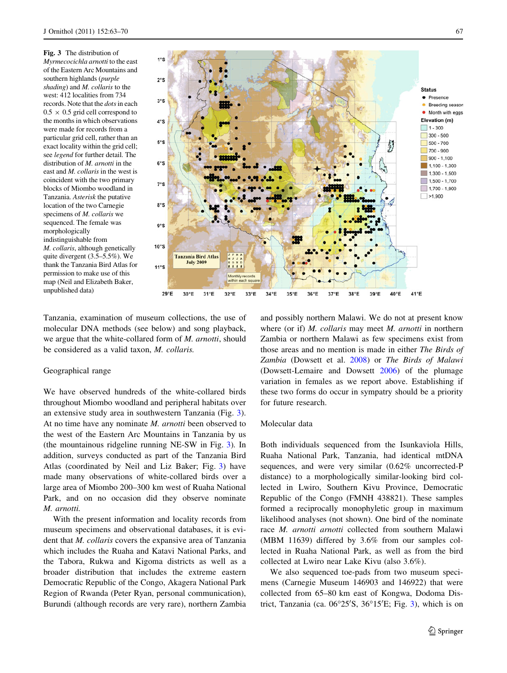<span id="page-4-0"></span>Fig. 3 The distribution of Myrmecocichla arnotti to the east of the Eastern Arc Mountains and southern highlands (purple shading) and  $M$ . collaris to the west: 412 localities from 734 records. Note that the *dots* in each  $0.5 \times 0.5$  grid cell correspond to the months in which observations were made for records from a particular grid cell, rather than an exact locality within the grid cell; see legend for further detail. The distribution of  $M$ . arnotti in the east and *M. collaris* in the west is coincident with the two primary blocks of Miombo woodland in Tanzania. Asterisk the putative location of the two Carnegie specimens of M. collaris we sequenced. The female was morphologically indistinguishable from M. collaris, although genetically quite divergent (3.5–5.5%). We thank the Tanzania Bird Atlas for permission to make use of this map (Neil and Elizabeth Baker, unpublished data)



Tanzania, examination of museum collections, the use of molecular DNA methods (see below) and song playback, we argue that the white-collared form of *M. arnotti*, should be considered as a valid taxon, M. collaris.

## Geographical range

We have observed hundreds of the white-collared birds throughout Miombo woodland and peripheral habitats over an extensive study area in southwestern Tanzania (Fig. 3). At no time have any nominate *M. arnotti* been observed to the west of the Eastern Arc Mountains in Tanzania by us (the mountainous ridgeline running NE-SW in Fig. 3). In addition, surveys conducted as part of the Tanzania Bird Atlas (coordinated by Neil and Liz Baker; Fig. 3) have made many observations of white-collared birds over a large area of Miombo 200–300 km west of Ruaha National Park, and on no occasion did they observe nominate M. arnotti.

With the present information and locality records from museum specimens and observational databases, it is evident that M. collaris covers the expansive area of Tanzania which includes the Ruaha and Katavi National Parks, and the Tabora, Rukwa and Kigoma districts as well as a broader distribution that includes the extreme eastern Democratic Republic of the Congo, Akagera National Park Region of Rwanda (Peter Ryan, personal communication), Burundi (although records are very rare), northern Zambia and possibly northern Malawi. We do not at present know where (or if)  $M.$  collaris may meet  $M.$  arnotti in northern Zambia or northern Malawi as few specimens exist from those areas and no mention is made in either The Birds of Zambia (Dowsett et al. [2008](#page-7-0)) or The Birds of Malawi (Dowsett-Lemaire and Dowsett [2006\)](#page-7-0) of the plumage variation in females as we report above. Establishing if these two forms do occur in sympatry should be a priority for future research.

#### Molecular data

Both individuals sequenced from the Isunkaviola Hills, Ruaha National Park, Tanzania, had identical mtDNA sequences, and were very similar (0.62% uncorrected-P distance) to a morphologically similar-looking bird collected in Lwiro, Southern Kivu Province, Democratic Republic of the Congo (FMNH 438821). These samples formed a reciprocally monophyletic group in maximum likelihood analyses (not shown). One bird of the nominate race M. arnotti arnotti collected from southern Malawi (MBM 11639) differed by 3.6% from our samples collected in Ruaha National Park, as well as from the bird collected at Lwiro near Lake Kivu (also 3.6%).

We also sequenced toe-pads from two museum specimens (Carnegie Museum 146903 and 146922) that were collected from 65–80 km east of Kongwa, Dodoma District, Tanzania (ca.  $06^{\circ}25'S$ ,  $36^{\circ}15'E$ ; Fig. 3), which is on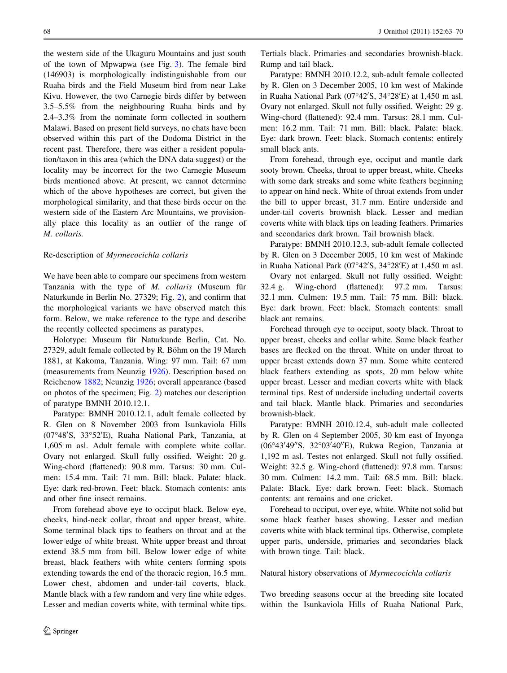the western side of the Ukaguru Mountains and just south of the town of Mpwapwa (see Fig. [3](#page-4-0)). The female bird (146903) is morphologically indistinguishable from our Ruaha birds and the Field Museum bird from near Lake Kivu. However, the two Carnegie birds differ by between 3.5–5.5% from the neighbouring Ruaha birds and by 2.4–3.3% from the nominate form collected in southern Malawi. Based on present field surveys, no chats have been observed within this part of the Dodoma District in the recent past. Therefore, there was either a resident population/taxon in this area (which the DNA data suggest) or the locality may be incorrect for the two Carnegie Museum birds mentioned above. At present, we cannot determine which of the above hypotheses are correct, but given the morphological similarity, and that these birds occur on the western side of the Eastern Arc Mountains, we provisionally place this locality as an outlier of the range of M. collaris.

#### Re-description of Myrmecocichla collaris

We have been able to compare our specimens from western Tanzania with the type of  $M$ . collaris (Museum für Naturkunde in Berlin No. 27329; Fig. [2](#page-3-0)), and confirm that the morphological variants we have observed match this form. Below, we make reference to the type and describe the recently collected specimens as paratypes.

Holotype: Museum für Naturkunde Berlin, Cat. No. 27329, adult female collected by R. Böhm on the 19 March 1881, at Kakoma, Tanzania. Wing: 97 mm. Tail: 67 mm (measurements from Neunzig [1926](#page-7-0)). Description based on Reichenow [1882](#page-7-0); Neunzig [1926;](#page-7-0) overall appearance (based on photos of the specimen; Fig. [2\)](#page-3-0) matches our description of paratype BMNH 2010.12.1.

Paratype: BMNH 2010.12.1, adult female collected by R. Glen on 8 November 2003 from Isunkaviola Hills (07°48'S, 33°52'E), Ruaha National Park, Tanzania, at 1,605 m asl. Adult female with complete white collar. Ovary not enlarged. Skull fully ossified. Weight: 20 g. Wing-chord (flattened): 90.8 mm. Tarsus: 30 mm. Culmen: 15.4 mm. Tail: 71 mm. Bill: black. Palate: black. Eye: dark red-brown. Feet: black. Stomach contents: ants and other fine insect remains.

From forehead above eye to occiput black. Below eye, cheeks, hind-neck collar, throat and upper breast, white. Some terminal black tips to feathers on throat and at the lower edge of white breast. White upper breast and throat extend 38.5 mm from bill. Below lower edge of white breast, black feathers with white centers forming spots extending towards the end of the thoracic region, 16.5 mm. Lower chest, abdomen and under-tail coverts, black. Mantle black with a few random and very fine white edges. Lesser and median coverts white, with terminal white tips.

Tertials black. Primaries and secondaries brownish-black. Rump and tail black.

Paratype: BMNH 2010.12.2, sub-adult female collected by R. Glen on 3 December 2005, 10 km west of Makinde in Ruaha National Park (07°42'S, 34°28'E) at 1,450 m asl. Ovary not enlarged. Skull not fully ossified. Weight: 29 g. Wing-chord (flattened): 92.4 mm. Tarsus: 28.1 mm. Culmen: 16.2 mm. Tail: 71 mm. Bill: black. Palate: black. Eye: dark brown. Feet: black. Stomach contents: entirely small black ants.

From forehead, through eye, occiput and mantle dark sooty brown. Cheeks, throat to upper breast, white. Cheeks with some dark streaks and some white feathers beginning to appear on hind neck. White of throat extends from under the bill to upper breast, 31.7 mm. Entire underside and under-tail coverts brownish black. Lesser and median coverts white with black tips on leading feathers. Primaries and secondaries dark brown. Tail brownish black.

Paratype: BMNH 2010.12.3, sub-adult female collected by R. Glen on 3 December 2005, 10 km west of Makinde in Ruaha National Park (07°42'S, 34°28'E) at 1,450 m asl.

Ovary not enlarged. Skull not fully ossified. Weight: 32.4 g. Wing-chord (flattened): 97.2 mm. Tarsus: 32.1 mm. Culmen: 19.5 mm. Tail: 75 mm. Bill: black. Eye: dark brown. Feet: black. Stomach contents: small black ant remains.

Forehead through eye to occiput, sooty black. Throat to upper breast, cheeks and collar white. Some black feather bases are flecked on the throat. White on under throat to upper breast extends down 37 mm. Some white centered black feathers extending as spots, 20 mm below white upper breast. Lesser and median coverts white with black terminal tips. Rest of underside including undertail coverts and tail black. Mantle black. Primaries and secondaries brownish-black.

Paratype: BMNH 2010.12.4, sub-adult male collected by R. Glen on 4 September 2005, 30 km east of Inyonga (06°43'49"S, 32°03'40"E), Rukwa Region, Tanzania at 1,192 m asl. Testes not enlarged. Skull not fully ossified. Weight: 32.5 g. Wing-chord (flattened): 97.8 mm. Tarsus: 30 mm. Culmen: 14.2 mm. Tail: 68.5 mm. Bill: black. Palate: Black. Eye: dark brown. Feet: black. Stomach contents: ant remains and one cricket.

Forehead to occiput, over eye, white. White not solid but some black feather bases showing. Lesser and median coverts white with black terminal tips. Otherwise, complete upper parts, underside, primaries and secondaries black with brown tinge. Tail: black.

## Natural history observations of Myrmecocichla collaris

Two breeding seasons occur at the breeding site located within the Isunkaviola Hills of Ruaha National Park,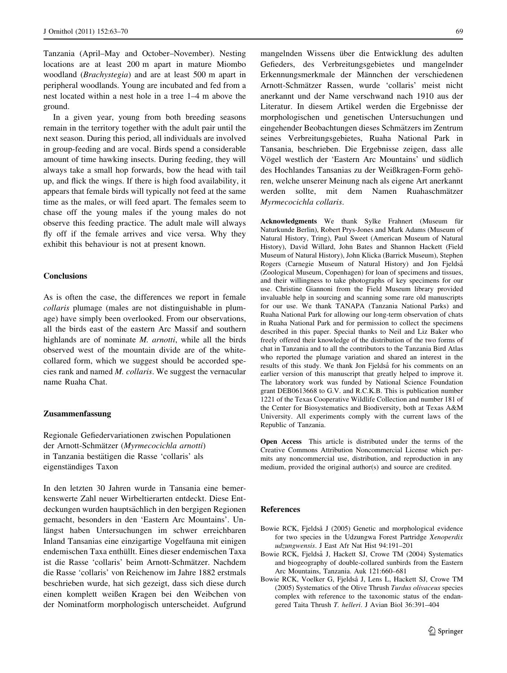<span id="page-6-0"></span>Tanzania (April–May and October–November). Nesting locations are at least 200 m apart in mature Miombo woodland (Brachystegia) and are at least 500 m apart in peripheral woodlands. Young are incubated and fed from a nest located within a nest hole in a tree 1–4 m above the ground.

In a given year, young from both breeding seasons remain in the territory together with the adult pair until the next season. During this period, all individuals are involved in group-feeding and are vocal. Birds spend a considerable amount of time hawking insects. During feeding, they will always take a small hop forwards, bow the head with tail up, and flick the wings. If there is high food availability, it appears that female birds will typically not feed at the same time as the males, or will feed apart. The females seem to chase off the young males if the young males do not observe this feeding practice. The adult male will always fly off if the female arrives and vice versa. Why they exhibit this behaviour is not at present known.

## **Conclusions**

As is often the case, the differences we report in female collaris plumage (males are not distinguishable in plumage) have simply been overlooked. From our observations, all the birds east of the eastern Arc Massif and southern highlands are of nominate  $M$ . arnotti, while all the birds observed west of the mountain divide are of the whitecollared form, which we suggest should be accorded species rank and named M. collaris. We suggest the vernacular name Ruaha Chat.

#### Zusammenfassung

Regionale Gefiedervariationen zwischen Populationen der Arnott-Schmätzer (Myrmecocichla arnotti) in Tanzania bestätigen die Rasse 'collaris' als eigenständiges Taxon

In den letzten 30 Jahren wurde in Tansania eine bemerkenswerte Zahl neuer Wirbeltierarten entdeckt. Diese Entdeckungen wurden hauptsächlich in den bergigen Regionen gemacht, besonders in den 'Eastern Arc Mountains'. Unlängst haben Untersuchungen im schwer erreichbaren Inland Tansanias eine einzigartige Vogelfauna mit einigen endemischen Taxa enthüllt. Eines dieser endemischen Taxa ist die Rasse 'collaris' beim Arnott-Schmätzer. Nachdem die Rasse 'collaris' von Reichenow im Jahre 1882 erstmals beschrieben wurde, hat sich gezeigt, dass sich diese durch einen komplett weißen Kragen bei den Weibchen von der Nominatform morphologisch unterscheidet. Aufgrund

mangelnden Wissens über die Entwicklung des adulten Gefieders, des Verbreitungsgebietes und mangelnder Erkennungsmerkmale der Männchen der verschiedenen Arnott-Schma¨tzer Rassen, wurde 'collaris' meist nicht anerkannt und der Name verschwand nach 1910 aus der Literatur. In diesem Artikel werden die Ergebnisse der morphologischen und genetischen Untersuchungen und eingehender Beobachtungen dieses Schmätzers im Zentrum seines Verbreitungsgebietes, Ruaha National Park in Tansania, beschrieben. Die Ergebnisse zeigen, dass alle Vögel westlich der 'Eastern Arc Mountains' und südlich des Hochlandes Tansanias zu der Weißkragen-Form gehören, welche unserer Meinung nach als eigene Art anerkannt werden sollte, mit dem Namen Ruahaschmätzer Myrmecocichla collaris.

Acknowledgments We thank Sylke Frahnert (Museum für Naturkunde Berlin), Robert Prys-Jones and Mark Adams (Museum of Natural History, Tring), Paul Sweet (American Museum of Natural History), David Willard, John Bates and Shannon Hackett (Field Museum of Natural History), John Klicka (Barrick Museum), Stephen Rogers (Carnegie Museum of Natural History) and Jon Fjeldså (Zoological Museum, Copenhagen) for loan of specimens and tissues, and their willingness to take photographs of key specimens for our use. Christine Giannoni from the Field Museum library provided invaluable help in sourcing and scanning some rare old manuscripts for our use. We thank TANAPA (Tanzania National Parks) and Ruaha National Park for allowing our long-term observation of chats in Ruaha National Park and for permission to collect the specimens described in this paper. Special thanks to Neil and Liz Baker who freely offered their knowledge of the distribution of the two forms of chat in Tanzania and to all the contributors to the Tanzania Bird Atlas who reported the plumage variation and shared an interest in the results of this study. We thank Jon Fjeldså for his comments on an earlier version of this manuscript that greatly helped to improve it. The laboratory work was funded by National Science Foundation grant DEB0613668 to G.V. and R.C.K.B. This is publication number 1221 of the Texas Cooperative Wildlife Collection and number 181 of the Center for Biosystematics and Biodiversity, both at Texas A&M University. All experiments comply with the current laws of the Republic of Tanzania.

Open Access This article is distributed under the terms of the Creative Commons Attribution Noncommercial License which permits any noncommercial use, distribution, and reproduction in any medium, provided the original author(s) and source are credited.

#### References

- Bowie RCK, Fjeldså J (2005) Genetic and morphological evidence for two species in the Udzungwa Forest Partridge Xenoperdix udzungwensis. J East Afr Nat Hist 94:191–201
- Bowie RCK, Fjeldså J, Hackett SJ, Crowe TM (2004) Systematics and biogeography of double-collared sunbirds from the Eastern Arc Mountains, Tanzania. Auk 121:660–681
- Bowie RCK, Voelker G, Fjeldså J, Lens L, Hackett SJ, Crowe TM (2005) Systematics of the Olive Thrush Turdus olivaceus species complex with reference to the taxonomic status of the endangered Taita Thrush T. helleri. J Avian Biol 36:391–404